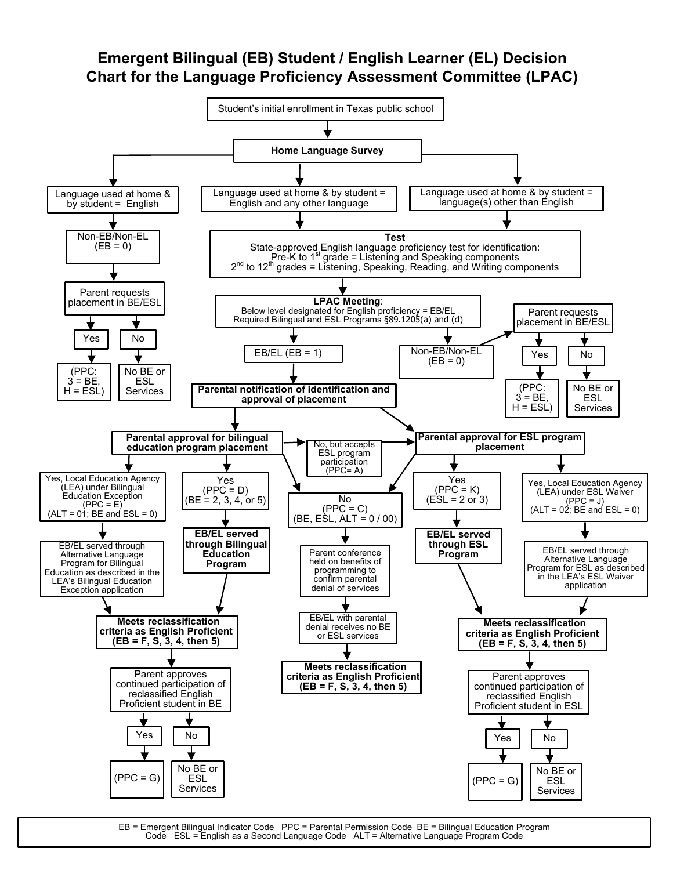# **Emergent Bilingual (EB) Student / English Learner (EL) Decision Chart for the Language Proficiency Assessment Committee (LPAC)**



EB = Emergent Bilingual Indicator Code PPC = Parental Permission Code BE = Bilingual Education Program Code ESL = English as a Second Language Code ALT = Alternative Language Program Code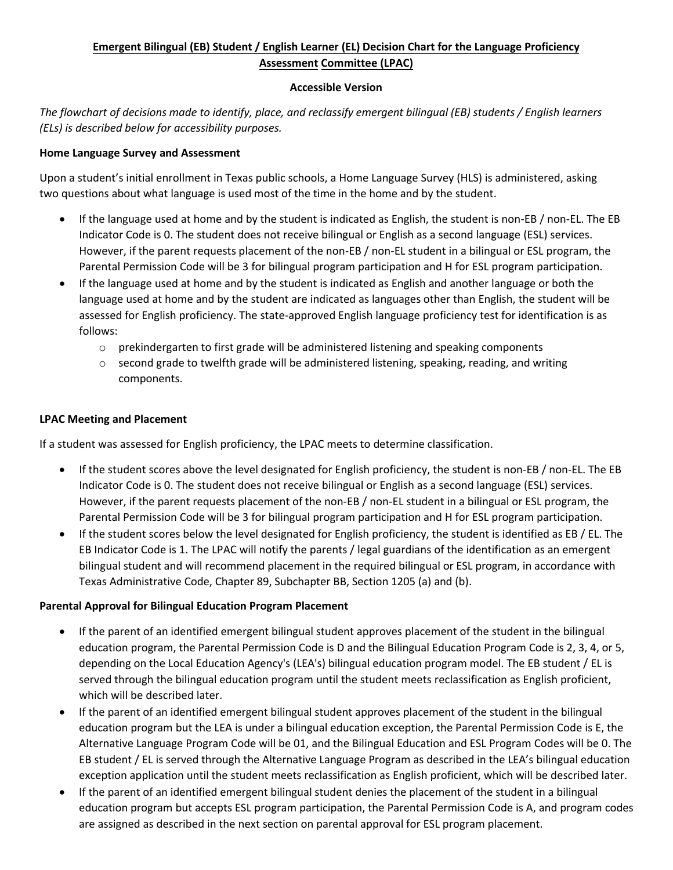## **Emergent Bilingual (EB) Student / English Learner (EL) Decision Chart for the Language Proficiency Assessment Committee (LPAC)**

#### **Accessible Version**

*The flowchart of decisions made to identify, place, and reclassify emergent bilingual (EB) students / English learners (ELs) is described below for accessibility purposes.* 

### **Home Language Survey and Assessment**

Upon a student's initial enrollment in Texas public schools, a Home Language Survey (HLS) is administered, asking two questions about what language is used most of the time in the home and by the student.

- If the language used at home and by the student is indicated as English, the student is non-EB / non-EL. The EB Indicator Code is 0. The student does not receive bilingual or English as a second language (ESL) services. However, if the parent requests placement of the non-EB / non-EL student in a bilingual or ESL program, the Parental Permission Code will be 3 for bilingual program participation and H for ESL program participation.
- If the language used at home and by the student is indicated as English and another language or both the language used at home and by the student are indicated as languages other than English, the student will be assessed for English proficiency. The state-approved English language proficiency test for identification is as follows:
	- $\circ$  prekindergarten to first grade will be administered listening and speaking components
	- $\circ$  second grade to twelfth grade will be administered listening, speaking, reading, and writing components.

### **LPAC Meeting and Placement**

If a student was assessed for English proficiency, the LPAC meets to determine classification.

- If the student scores above the level designated for English proficiency, the student is non-EB / non-EL. The EB Indicator Code is 0. The student does not receive bilingual or English as a second language (ESL) services. However, if the parent requests placement of the non-EB / non-EL student in a bilingual or ESL program, the Parental Permission Code will be 3 for bilingual program participation and H for ESL program participation.
- If the student scores below the level designated for English proficiency, the student is identified as EB / EL. The EB Indicator Code is 1. The LPAC will notify the parents / legal guardians of the identification as an emergent bilingual student and will recommend placement in the required bilingual or ESL program, in accordance with Texas Administrative Code, Chapter 89, Subchapter BB, Section 1205 (a) and (b).

#### **Parental Approval for Bilingual Education Program Placement**

- If the parent of an identified emergent bilingual student approves placement of the student in the bilingual education program, the Parental Permission Code is D and the Bilingual Education Program Code is 2, 3, 4, or 5, depending on the Local Education Agency's (LEA's) bilingual education program model. The EB student / EL is served through the bilingual education program until the student meets reclassification as English proficient, which will be described later.
- If the parent of an identified emergent bilingual student approves placement of the student in the bilingual education program but the LEA is under a bilingual education exception, the Parental Permission Code is E, the Alternative Language Program Code will be 01, and the Bilingual Education and ESL Program Codes will be 0. The EB student / EL is served through the Alternative Language Program as described in the LEA's bilingual education exception application until the student meets reclassification as English proficient, which will be described later.
- If the parent of an identified emergent bilingual student denies the placement of the student in a bilingual education program but accepts ESL program participation, the Parental Permission Code is A, and program codes are assigned as described in the next section on parental approval for ESL program placement.